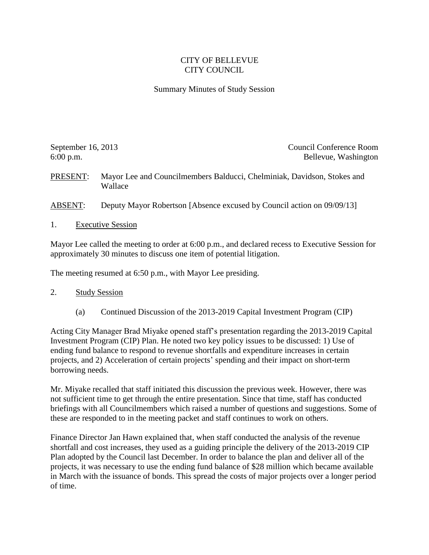## CITY OF BELLEVUE CITY COUNCIL

## Summary Minutes of Study Session

September 16, 2013 Council Conference Room 6:00 p.m. Bellevue, Washington

PRESENT: Mayor Lee and Councilmembers Balducci, Chelminiak, Davidson, Stokes and Wallace

ABSENT: Deputy Mayor Robertson [Absence excused by Council action on 09/09/13]

1. Executive Session

Mayor Lee called the meeting to order at 6:00 p.m., and declared recess to Executive Session for approximately 30 minutes to discuss one item of potential litigation.

The meeting resumed at 6:50 p.m., with Mayor Lee presiding.

- 2. Study Session
	- (a) Continued Discussion of the 2013-2019 Capital Investment Program (CIP)

Acting City Manager Brad Miyake opened staff's presentation regarding the 2013-2019 Capital Investment Program (CIP) Plan. He noted two key policy issues to be discussed: 1) Use of ending fund balance to respond to revenue shortfalls and expenditure increases in certain projects, and 2) Acceleration of certain projects' spending and their impact on short-term borrowing needs.

Mr. Miyake recalled that staff initiated this discussion the previous week. However, there was not sufficient time to get through the entire presentation. Since that time, staff has conducted briefings with all Councilmembers which raised a number of questions and suggestions. Some of these are responded to in the meeting packet and staff continues to work on others.

Finance Director Jan Hawn explained that, when staff conducted the analysis of the revenue shortfall and cost increases, they used as a guiding principle the delivery of the 2013-2019 CIP Plan adopted by the Council last December. In order to balance the plan and deliver all of the projects, it was necessary to use the ending fund balance of \$28 million which became available in March with the issuance of bonds. This spread the costs of major projects over a longer period of time.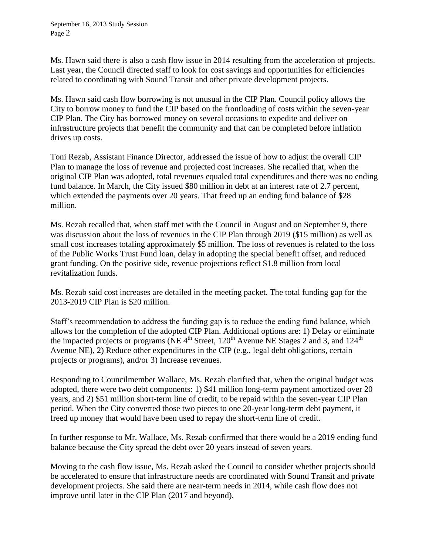Ms. Hawn said there is also a cash flow issue in 2014 resulting from the acceleration of projects. Last year, the Council directed staff to look for cost savings and opportunities for efficiencies related to coordinating with Sound Transit and other private development projects.

Ms. Hawn said cash flow borrowing is not unusual in the CIP Plan. Council policy allows the City to borrow money to fund the CIP based on the frontloading of costs within the seven-year CIP Plan. The City has borrowed money on several occasions to expedite and deliver on infrastructure projects that benefit the community and that can be completed before inflation drives up costs.

Toni Rezab, Assistant Finance Director, addressed the issue of how to adjust the overall CIP Plan to manage the loss of revenue and projected cost increases. She recalled that, when the original CIP Plan was adopted, total revenues equaled total expenditures and there was no ending fund balance. In March, the City issued \$80 million in debt at an interest rate of 2.7 percent, which extended the payments over 20 years. That freed up an ending fund balance of \$28 million.

Ms. Rezab recalled that, when staff met with the Council in August and on September 9, there was discussion about the loss of revenues in the CIP Plan through 2019 (\$15 million) as well as small cost increases totaling approximately \$5 million. The loss of revenues is related to the loss of the Public Works Trust Fund loan, delay in adopting the special benefit offset, and reduced grant funding. On the positive side, revenue projections reflect \$1.8 million from local revitalization funds.

Ms. Rezab said cost increases are detailed in the meeting packet. The total funding gap for the 2013-2019 CIP Plan is \$20 million.

Staff's recommendation to address the funding gap is to reduce the ending fund balance, which allows for the completion of the adopted CIP Plan. Additional options are: 1) Delay or eliminate the impacted projects or programs (NE  $4<sup>th</sup>$  Street, 120<sup>th</sup> Avenue NE Stages 2 and 3, and 124<sup>th</sup> Avenue NE), 2) Reduce other expenditures in the CIP (e.g., legal debt obligations, certain projects or programs), and/or 3) Increase revenues.

Responding to Councilmember Wallace, Ms. Rezab clarified that, when the original budget was adopted, there were two debt components: 1) \$41 million long-term payment amortized over 20 years, and 2) \$51 million short-term line of credit, to be repaid within the seven-year CIP Plan period. When the City converted those two pieces to one 20-year long-term debt payment, it freed up money that would have been used to repay the short-term line of credit.

In further response to Mr. Wallace, Ms. Rezab confirmed that there would be a 2019 ending fund balance because the City spread the debt over 20 years instead of seven years.

Moving to the cash flow issue, Ms. Rezab asked the Council to consider whether projects should be accelerated to ensure that infrastructure needs are coordinated with Sound Transit and private development projects. She said there are near-term needs in 2014, while cash flow does not improve until later in the CIP Plan (2017 and beyond).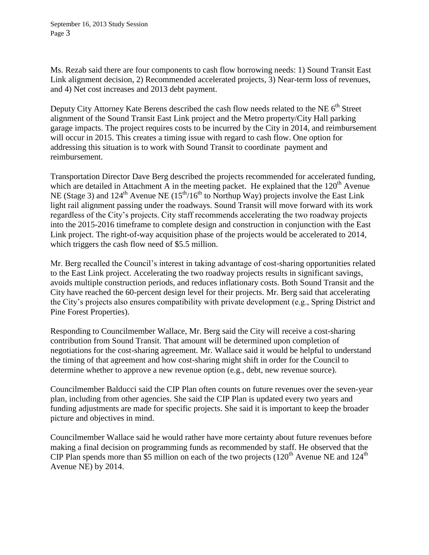Ms. Rezab said there are four components to cash flow borrowing needs: 1) Sound Transit East Link alignment decision, 2) Recommended accelerated projects, 3) Near-term loss of revenues, and 4) Net cost increases and 2013 debt payment.

Deputy City Attorney Kate Berens described the cash flow needs related to the NE  $6<sup>th</sup>$  Street alignment of the Sound Transit East Link project and the Metro property/City Hall parking garage impacts. The project requires costs to be incurred by the City in 2014, and reimbursement will occur in 2015. This creates a timing issue with regard to cash flow. One option for addressing this situation is to work with Sound Transit to coordinate payment and reimbursement.

Transportation Director Dave Berg described the projects recommended for accelerated funding, which are detailed in Attachment A in the meeting packet. He explained that the  $120<sup>th</sup>$  Avenue NE (Stage 3) and  $124^{\text{th}}$  Avenue NE ( $15^{\text{th}}/16^{\text{th}}$  to Northup Way) projects involve the East Link light rail alignment passing under the roadways. Sound Transit will move forward with its work regardless of the City's projects. City staff recommends accelerating the two roadway projects into the 2015-2016 timeframe to complete design and construction in conjunction with the East Link project. The right-of-way acquisition phase of the projects would be accelerated to 2014, which triggers the cash flow need of \$5.5 million.

Mr. Berg recalled the Council's interest in taking advantage of cost-sharing opportunities related to the East Link project. Accelerating the two roadway projects results in significant savings, avoids multiple construction periods, and reduces inflationary costs. Both Sound Transit and the City have reached the 60-percent design level for their projects. Mr. Berg said that accelerating the City's projects also ensures compatibility with private development (e.g., Spring District and Pine Forest Properties).

Responding to Councilmember Wallace, Mr. Berg said the City will receive a cost-sharing contribution from Sound Transit. That amount will be determined upon completion of negotiations for the cost-sharing agreement. Mr. Wallace said it would be helpful to understand the timing of that agreement and how cost-sharing might shift in order for the Council to determine whether to approve a new revenue option (e.g., debt, new revenue source).

Councilmember Balducci said the CIP Plan often counts on future revenues over the seven-year plan, including from other agencies. She said the CIP Plan is updated every two years and funding adjustments are made for specific projects. She said it is important to keep the broader picture and objectives in mind.

Councilmember Wallace said he would rather have more certainty about future revenues before making a final decision on programming funds as recommended by staff. He observed that the CIP Plan spends more than \$5 million on each of the two projects  $(120<sup>th</sup>$  Avenue NE and  $124<sup>th</sup>$ Avenue NE) by 2014.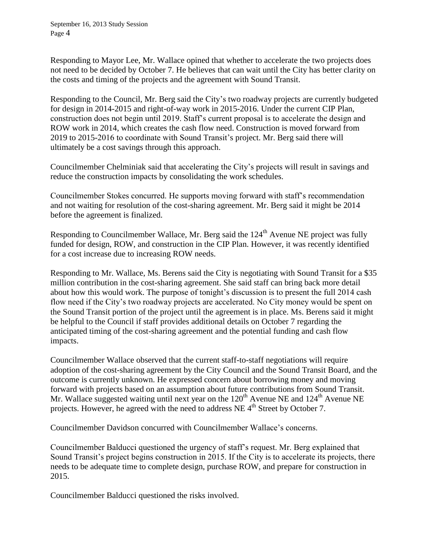Responding to Mayor Lee, Mr. Wallace opined that whether to accelerate the two projects does not need to be decided by October 7. He believes that can wait until the City has better clarity on the costs and timing of the projects and the agreement with Sound Transit.

Responding to the Council, Mr. Berg said the City's two roadway projects are currently budgeted for design in 2014-2015 and right-of-way work in 2015-2016. Under the current CIP Plan, construction does not begin until 2019. Staff's current proposal is to accelerate the design and ROW work in 2014, which creates the cash flow need. Construction is moved forward from 2019 to 2015-2016 to coordinate with Sound Transit's project. Mr. Berg said there will ultimately be a cost savings through this approach.

Councilmember Chelminiak said that accelerating the City's projects will result in savings and reduce the construction impacts by consolidating the work schedules.

Councilmember Stokes concurred. He supports moving forward with staff's recommendation and not waiting for resolution of the cost-sharing agreement. Mr. Berg said it might be 2014 before the agreement is finalized.

Responding to Councilmember Wallace, Mr. Berg said the  $124<sup>th</sup>$  Avenue NE project was fully funded for design, ROW, and construction in the CIP Plan. However, it was recently identified for a cost increase due to increasing ROW needs.

Responding to Mr. Wallace, Ms. Berens said the City is negotiating with Sound Transit for a \$35 million contribution in the cost-sharing agreement. She said staff can bring back more detail about how this would work. The purpose of tonight's discussion is to present the full 2014 cash flow need if the City's two roadway projects are accelerated. No City money would be spent on the Sound Transit portion of the project until the agreement is in place. Ms. Berens said it might be helpful to the Council if staff provides additional details on October 7 regarding the anticipated timing of the cost-sharing agreement and the potential funding and cash flow impacts.

Councilmember Wallace observed that the current staff-to-staff negotiations will require adoption of the cost-sharing agreement by the City Council and the Sound Transit Board, and the outcome is currently unknown. He expressed concern about borrowing money and moving forward with projects based on an assumption about future contributions from Sound Transit. Mr. Wallace suggested waiting until next year on the  $120<sup>th</sup>$  Avenue NE and  $124<sup>th</sup>$  Avenue NE projects. However, he agreed with the need to address NE  $4<sup>th</sup>$  Street by October 7.

Councilmember Davidson concurred with Councilmember Wallace's concerns.

Councilmember Balducci questioned the urgency of staff's request. Mr. Berg explained that Sound Transit's project begins construction in 2015. If the City is to accelerate its projects, there needs to be adequate time to complete design, purchase ROW, and prepare for construction in 2015.

Councilmember Balducci questioned the risks involved.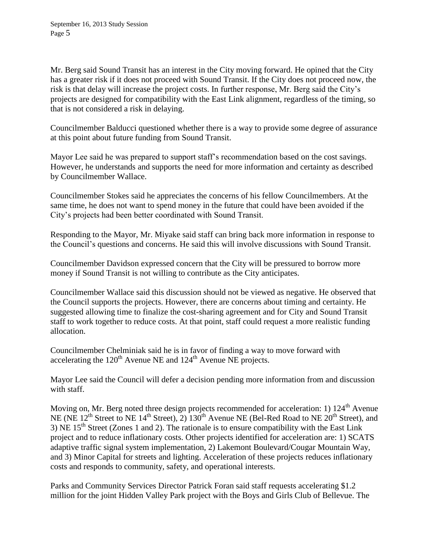Mr. Berg said Sound Transit has an interest in the City moving forward. He opined that the City has a greater risk if it does not proceed with Sound Transit. If the City does not proceed now, the risk is that delay will increase the project costs. In further response, Mr. Berg said the City's projects are designed for compatibility with the East Link alignment, regardless of the timing, so that is not considered a risk in delaying.

Councilmember Balducci questioned whether there is a way to provide some degree of assurance at this point about future funding from Sound Transit.

Mayor Lee said he was prepared to support staff's recommendation based on the cost savings. However, he understands and supports the need for more information and certainty as described by Councilmember Wallace.

Councilmember Stokes said he appreciates the concerns of his fellow Councilmembers. At the same time, he does not want to spend money in the future that could have been avoided if the City's projects had been better coordinated with Sound Transit.

Responding to the Mayor, Mr. Miyake said staff can bring back more information in response to the Council's questions and concerns. He said this will involve discussions with Sound Transit.

Councilmember Davidson expressed concern that the City will be pressured to borrow more money if Sound Transit is not willing to contribute as the City anticipates.

Councilmember Wallace said this discussion should not be viewed as negative. He observed that the Council supports the projects. However, there are concerns about timing and certainty. He suggested allowing time to finalize the cost-sharing agreement and for City and Sound Transit staff to work together to reduce costs. At that point, staff could request a more realistic funding allocation.

Councilmember Chelminiak said he is in favor of finding a way to move forward with accelerating the  $120^{th}$  Avenue NE and  $124^{th}$  Avenue NE projects.

Mayor Lee said the Council will defer a decision pending more information from and discussion with staff.

Moving on, Mr. Berg noted three design projects recommended for acceleration: 1) 124<sup>th</sup> Avenue NE (NE  $12^{th}$  Street to NE  $14^{th}$  Street), 2)  $130^{th}$  Avenue NE (Bel-Red Road to NE  $20^{th}$  Street), and 3) NE  $15<sup>th</sup>$  Street (Zones 1 and 2). The rationale is to ensure compatibility with the East Link project and to reduce inflationary costs. Other projects identified for acceleration are: 1) SCATS adaptive traffic signal system implementation, 2) Lakemont Boulevard/Cougar Mountain Way, and 3) Minor Capital for streets and lighting. Acceleration of these projects reduces inflationary costs and responds to community, safety, and operational interests.

Parks and Community Services Director Patrick Foran said staff requests accelerating \$1.2 million for the joint Hidden Valley Park project with the Boys and Girls Club of Bellevue. The